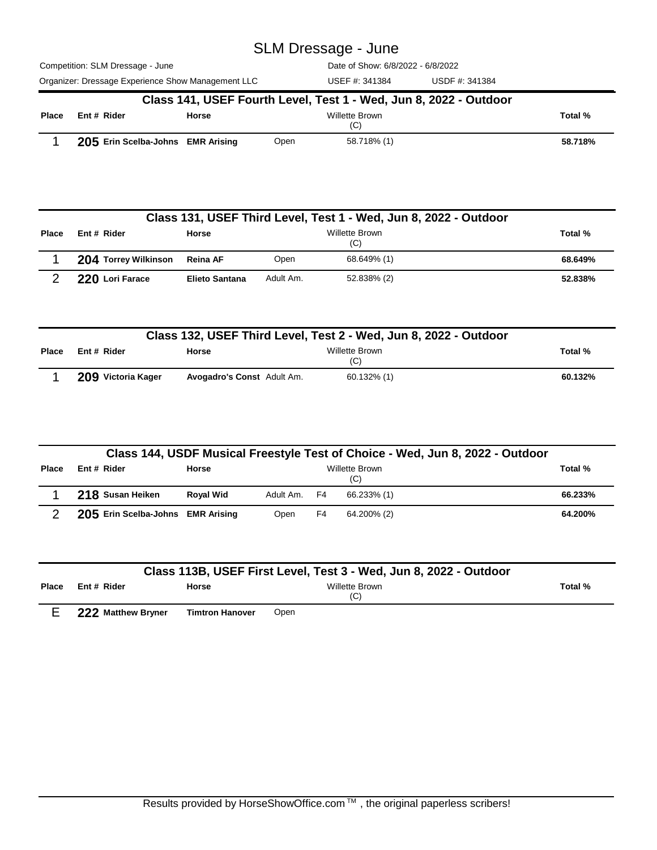Competition: SLM Dressage - June Organizer: Dressage Experience Show Management LLC USEF #: 341384 USDF #: 341384 Date of Show: 6/8/2022 - 6/8/2022 USEF #: 341384

|              | Class 141, USEF Fourth Level, Test 1 - Wed, Jun 8, 2022 - Outdoor |       |      |                       |         |  |  |  |  |
|--------------|-------------------------------------------------------------------|-------|------|-----------------------|---------|--|--|--|--|
| <b>Place</b> | Ent # Rider                                                       | Horse |      | Willette Brown<br>(C) |         |  |  |  |  |
|              | 205 Erin Scelba-Johns EMR Arising                                 |       | Open | 58.718% (1)           | 58.718% |  |  |  |  |

|              | Class 131, USEF Third Level, Test 1 - Wed, Jun 8, 2022 - Outdoor |                       |                       |             |         |  |  |  |  |
|--------------|------------------------------------------------------------------|-----------------------|-----------------------|-------------|---------|--|--|--|--|
| <b>Place</b> | Ent # Rider                                                      | <b>Horse</b>          | Willette Brown<br>(C) |             |         |  |  |  |  |
|              | 204 Torrey Wilkinson                                             | Reina AF              | Open                  | 68.649% (1) | 68.649% |  |  |  |  |
|              | 220 Lori Farace                                                  | <b>Elieto Santana</b> | Adult Am.             | 52.838% (2) | 52.838% |  |  |  |  |

| Class 132, USEF Third Level, Test 2 - Wed, Jun 8, 2022 - Outdoor |                    |                            |                       |         |  |  |  |
|------------------------------------------------------------------|--------------------|----------------------------|-----------------------|---------|--|--|--|
| <b>Place</b>                                                     | Ent # Rider        | <b>Horse</b>               | Willette Brown<br>(C) | Total % |  |  |  |
|                                                                  | 209 Victoria Kager | Avogadro's Const Adult Am. | 60.132% (1)           | 60.132% |  |  |  |

|              |                                   |                  |              |    | Class 144, USDF Musical Freestyle Test of Choice - Wed, Jun 8, 2022 - Outdoor |         |
|--------------|-----------------------------------|------------------|--------------|----|-------------------------------------------------------------------------------|---------|
| <b>Place</b> | Ent # Rider                       | <b>Horse</b>     |              |    | Willette Brown<br>(C)                                                         | Total % |
|              | 218 Susan Heiken                  | <b>Roval Wid</b> | Adult Am. F4 |    | 66.233% (1)                                                                   | 66.233% |
| っ            | 205 Erin Scelba-Johns EMR Arising |                  | Open         | F4 | 64.200% (2)                                                                   | 64.200% |

|              |                             |                 | Class 113B, USEF First Level, Test 3 - Wed, Jun 8, 2022 - Outdoor |         |
|--------------|-----------------------------|-----------------|-------------------------------------------------------------------|---------|
| <b>Place</b> | Ent # Rider                 | Horse           | <b>Willette Brown</b><br>(C)                                      | Total % |
|              | <b>OOO Motthour Departs</b> | Timings Howards | 0.000                                                             |         |

E **222 Matthew Bryner Timtron Hanover** Open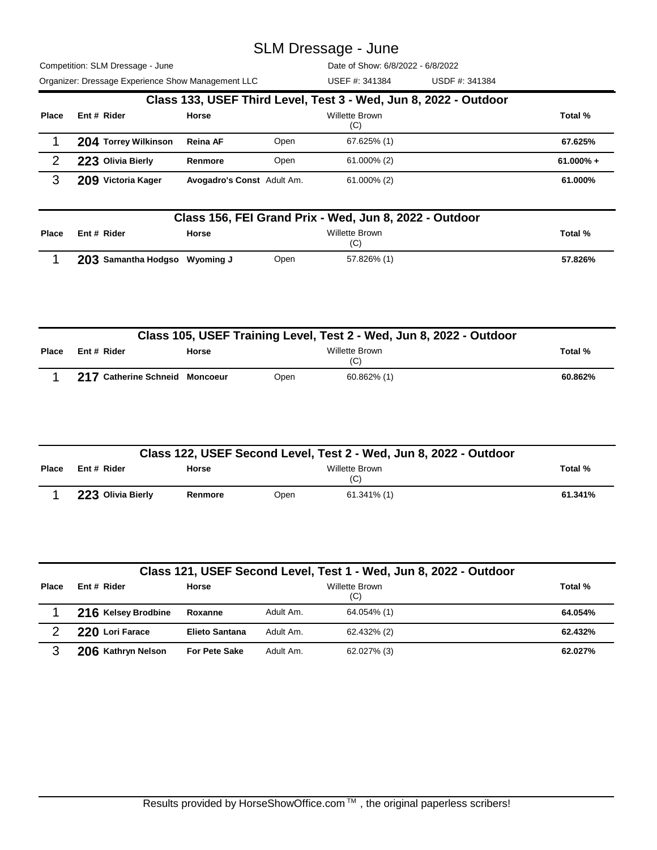Competition: SLM Dressage - June Organizer: Dressage Experience Show Management LLC USDF #: 341384

Date of Show: 6/8/2022 - 6/8/2022

|              | Organizer: Dressage Experience Show Management LLC               |                            |                              | USEF #: 341384 | USDF #: 341384 |              |  |  |  |  |
|--------------|------------------------------------------------------------------|----------------------------|------------------------------|----------------|----------------|--------------|--|--|--|--|
|              | Class 133, USEF Third Level, Test 3 - Wed, Jun 8, 2022 - Outdoor |                            |                              |                |                |              |  |  |  |  |
| <b>Place</b> | Ent # Rider                                                      | Horse                      | <b>Willette Brown</b><br>(C) |                |                |              |  |  |  |  |
|              | 204 Torrey Wilkinson                                             | <b>Reina AF</b>            | Open                         | 67.625% (1)    |                | 67.625%      |  |  |  |  |
| 2            | 223 Olivia Bierly                                                | Renmore                    | Open                         | $61.000\%$ (2) |                | $61.000\% +$ |  |  |  |  |
| 3            | 209 Victoria Kager                                               | Avogadro's Const Adult Am. |                              | $61.000\%$ (2) |                | 61.000%      |  |  |  |  |

|              | Class 156, FEI Grand Prix - Wed, Jun 8, 2022 - Outdoor |         |      |             |         |  |  |  |  |
|--------------|--------------------------------------------------------|---------|------|-------------|---------|--|--|--|--|
| <b>Place</b> | Ent # Rider                                            | Total % |      |             |         |  |  |  |  |
|              | 203 Samantha Hodgso Wyoming J                          |         | Open | 57.826% (1) | 57.826% |  |  |  |  |

|       | Class 105, USEF Training Level, Test 2 - Wed, Jun 8, 2022 - Outdoor |                                |      |                       |         |  |  |  |
|-------|---------------------------------------------------------------------|--------------------------------|------|-----------------------|---------|--|--|--|
| Place | Ent # Rider                                                         | Horse                          |      | Willette Brown<br>(C) | Total % |  |  |  |
|       |                                                                     | 217 Catherine Schneid Moncoeur | Open | $60.862\%$ (1)        | 60.862% |  |  |  |

| Class 122, USEF Second Level, Test 2 - Wed, Jun 8, 2022 - Outdoor |                   |              |      |                |         |  |  |  |
|-------------------------------------------------------------------|-------------------|--------------|------|----------------|---------|--|--|--|
| <b>Place</b>                                                      | Ent # Rider       | <b>Horse</b> |      | Total %        |         |  |  |  |
|                                                                   | 223 Olivia Bierly | Renmore      | Open | $61.341\%$ (1) | 61.341% |  |  |  |

|              | Class 121, USEF Second Level, Test 1 - Wed, Jun 8, 2022 - Outdoor |                       |                              |             |         |  |  |  |  |  |
|--------------|-------------------------------------------------------------------|-----------------------|------------------------------|-------------|---------|--|--|--|--|--|
| <b>Place</b> | Ent # Rider                                                       | Horse                 | <b>Willette Brown</b><br>(C) |             |         |  |  |  |  |  |
|              | 216 Kelsey Brodbine                                               | Roxanne               | Adult Am.                    | 64.054% (1) | 64.054% |  |  |  |  |  |
| 2            | 220 Lori Farace                                                   | <b>Elieto Santana</b> | Adult Am.                    | 62.432% (2) | 62.432% |  |  |  |  |  |
| 3            | 206 Kathryn Nelson                                                | <b>For Pete Sake</b>  | Adult Am.                    | 62.027% (3) | 62.027% |  |  |  |  |  |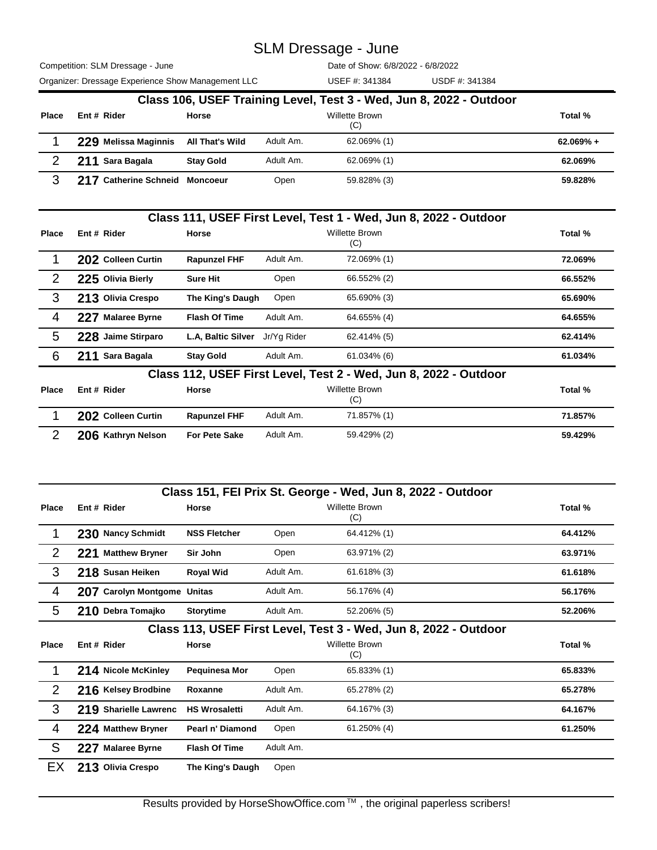Competition: SLM Dressage - June Organizer: Dressage Experience Show Management LLC USEF #: 341384 USDF #: 341384

Date of Show: 6/8/2022 - 6/8/2022

USEF #: 341384

|              | Class 106, USEF Training Level, Test 3 - Wed, Jun 8, 2022 - Outdoor |                  |           |                       |              |  |  |  |  |  |
|--------------|---------------------------------------------------------------------|------------------|-----------|-----------------------|--------------|--|--|--|--|--|
| <b>Place</b> | Ent # Rider                                                         | Horse            |           | Willette Brown<br>(C) | Total %      |  |  |  |  |  |
|              | 229 Melissa Maginnis                                                | All That's Wild  | Adult Am. | 62.069% (1)           | $62.069\% +$ |  |  |  |  |  |
|              | 211 Sara Bagala                                                     | <b>Stay Gold</b> | Adult Am. | 62.069% (1)           | 62.069%      |  |  |  |  |  |
| ຈ            | 217 Catherine Schneid Moncoeur                                      |                  | Open      | 59.828% (3)           | 59.828%      |  |  |  |  |  |

|                       | Class 111, USEF First Level, Test 1 - Wed, Jun 8, 2022 - Outdoor |                    |                           |             |                                                                  |         |  |
|-----------------------|------------------------------------------------------------------|--------------------|---------------------------|-------------|------------------------------------------------------------------|---------|--|
| Place                 |                                                                  | Ent # Rider        | <b>Horse</b>              |             | <b>Willette Brown</b><br>(C)                                     | Total % |  |
|                       |                                                                  | 202 Colleen Curtin | <b>Rapunzel FHF</b>       | Adult Am.   | 72.069% (1)                                                      | 72.069% |  |
| $\mathbf{2}^{\prime}$ |                                                                  | 225 Olivia Bierly  | <b>Sure Hit</b>           | Open        | 66.552% (2)                                                      | 66.552% |  |
| 3                     |                                                                  | 213 Olivia Crespo  | The King's Daugh          | Open        | 65.690% (3)                                                      | 65.690% |  |
| 4                     |                                                                  | 227 Malaree Byrne  | <b>Flash Of Time</b>      | Adult Am.   | 64.655% (4)                                                      | 64.655% |  |
| 5                     |                                                                  | 228 Jaime Stirparo | <b>L.A. Baltic Silver</b> | Jr/Yg Rider | 62.414% (5)                                                      | 62.414% |  |
| 6                     |                                                                  | 211 Sara Bagala    | <b>Stay Gold</b>          | Adult Am.   | 61.034% (6)                                                      | 61.034% |  |
|                       |                                                                  |                    |                           |             | Class 112, USEF First Level, Test 2 - Wed, Jun 8, 2022 - Outdoor |         |  |

| Place | Ent # Rider        | Horse                |           | Willette Brown<br>(C) | Total % |
|-------|--------------------|----------------------|-----------|-----------------------|---------|
|       | 202 Colleen Curtin | <b>Rapunzel FHF</b>  | Adult Am. | 71.857% (1)           | 71.857% |
|       | 206 Kathryn Nelson | <b>For Pete Sake</b> | Adult Am. | 59.429% (2)           | 59.429% |

|                |                                                                  |                      |           | Class 151, FEI Prix St. George - Wed, Jun 8, 2022 - Outdoor |         |  |  |  |
|----------------|------------------------------------------------------------------|----------------------|-----------|-------------------------------------------------------------|---------|--|--|--|
| Place          | Ent # Rider                                                      | <b>Horse</b>         |           | <b>Willette Brown</b><br>(C)                                | Total % |  |  |  |
|                | 230 Nancy Schmidt                                                | <b>NSS Fletcher</b>  | Open      | 64.412% (1)                                                 | 64.412% |  |  |  |
| 2              | 221 Matthew Bryner                                               | Sir John             | Open      | 63.971% (2)                                                 | 63.971% |  |  |  |
| 3              | 218 Susan Heiken                                                 | <b>Royal Wid</b>     | Adult Am. | $61.618\%$ (3)                                              | 61.618% |  |  |  |
| $\overline{4}$ | 207 Carolyn Montgome Unitas                                      |                      | Adult Am. | 56.176% (4)                                                 | 56.176% |  |  |  |
| 5              | 210 Debra Tomajko                                                | <b>Storytime</b>     | Adult Am. | 52.206% (5)                                                 | 52.206% |  |  |  |
|                | Class 113, USEF First Level, Test 3 - Wed, Jun 8, 2022 - Outdoor |                      |           |                                                             |         |  |  |  |
| Place          | Ent # Rider                                                      | <b>Horse</b>         |           | <b>Willette Brown</b><br>(C)                                | Total % |  |  |  |
|                | 214 Nicole McKinley                                              | Pequinesa Mor        | Open      | 65.833% (1)                                                 | 65.833% |  |  |  |
| 2              | 216 Kelsey Brodbine                                              | Roxanne              | Adult Am. | 65.278% (2)                                                 | 65.278% |  |  |  |
| 3              | 219 Sharielle Lawrenc                                            | <b>HS Wrosaletti</b> | Adult Am. | 64.167% (3)                                                 | 64.167% |  |  |  |
| 4              | 224 Matthew Bryner                                               | Pearl n' Diamond     | Open      | 61.250% (4)                                                 | 61.250% |  |  |  |
| S              | 227 Malaree Byrne                                                | <b>Flash Of Time</b> | Adult Am. |                                                             |         |  |  |  |
| EX             | 213 Olivia Crespo                                                | The King's Daugh     | Open      |                                                             |         |  |  |  |